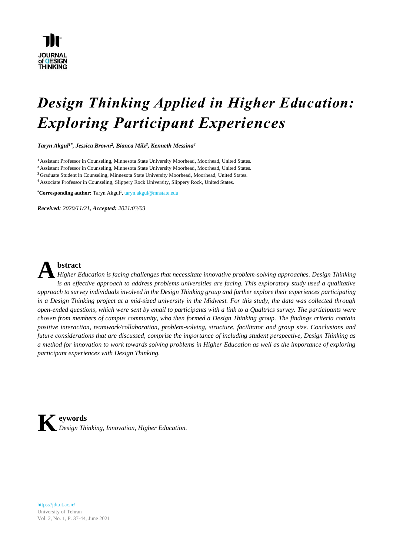

# *Design Thinking Applied in Higher Education: Exploring Participant Experiences*

*Taryn Akgul1\*, Jessica Brown<sup>2</sup> , Bianca Milz<sup>3</sup> , Kenneth Messina<sup>4</sup>*

**<sup>1</sup>** Assistant Professor in Counseling, Minnesota State University Moorhead, Moorhead, United States.

<sup>2</sup> Assistant Professor in Counseling, Minnesota State University Moorhead, Moorhead, United States.

**<sup>3</sup>** Graduate Student in Counseling, Minnesota State University Moorhead, Moorhead, United States.

**<sup>4</sup>** Associate Professor in Counseling, Slippery Rock University, Slippery Rock, United States.

**\*Corresponding author:** Taryn Akgul**<sup>1</sup>** , taryn.akgul@mnstate.edu

*Received: 2020/11/21, Accepted: 2021/03/03*



**bstract**

*Higher Education is facing challenges that necessitate innovative problem-solving approaches. Design Thinking is an effective approach to address problems universities are facing. This exploratory study used a qualitative* approach to survey individuals involved in the Design Thinking group and further explore their experiences participating in a Design Thinking project at a mid-sized university in the Midwest. For this study, the data was collected through *open-ended questions, which were sent by email to participants with a link to a Qualtrics survey. The participants were chosen from members of campus community, who then formed a Design Thinking group. The findings criteria contain positive interaction, teamwork/collaboration, problem-solving, structure, facilitator and group size. Conclusions and future considerations that are discussed, comprise the importance of including student perspective, Design Thinking as* a method for innovation to work towards solving problems in Higher Education as well as the importance of exploring *participant experiences with Design Thinking.*



https://jdt.ut.ac.ir/ University of Tehran Vol. 2, No. 1, P. 37-44, June 2021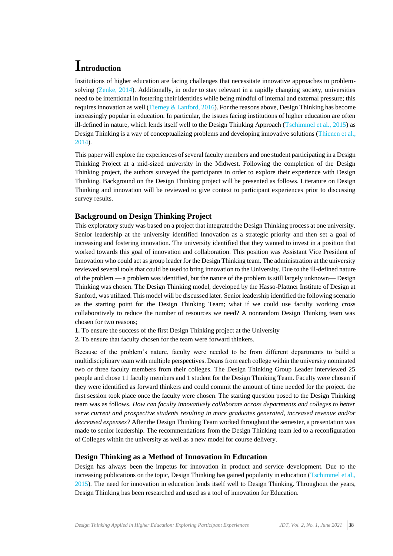# **Introduction**

Institutions of higher education are facing challenges that necessitate innovative approaches to problemsolving [\(Zenke, 2014\)](#page-7-0). Additionally, in order to stay relevant in a rapidly changing society, universities need to be intentional in fostering their identities while being mindful of internal and external pressure; this requires innovation as well [\(Tierney & Lanford, 2016\)](#page-7-1). For the reasons above, Design Thinking has become increasingly popular in education. In particular, the issues facing institutions of higher education are often ill-defined in nature, which lends itself well to the Design Thinking Approach [\(Tschimmel et al.,](#page-7-2) 2015) as Design Thinking is a way of conceptualizing problems and developing innovative solutions [\(Thienen](#page-7-3) et al., [2014\)](#page-7-3).

This paper will explore the experiences of several faculty members and one student participating in a Design Thinking Project at a mid-sized university in the Midwest. Following the completion of the Design Thinking project, the authors surveyed the participants in order to explore their experience with Design Thinking. Background on the Design Thinking project will be presented as follows. Literature on Design Thinking and innovation will be reviewed to give context to participant experiences prior to discussing survey results.

### **Background on Design Thinking Project**

This exploratory study was based on a project that integrated the Design Thinking process at one university. Senior leadership at the university identified Innovation as a strategic priority and then set a goal of increasing and fostering innovation. The university identified that they wanted to invest in a position that worked towards this goal of innovation and collaboration. This position was Assistant Vice President of Innovation who could act as group leader for the Design Thinking team. The administration at the university reviewed several tools that could be used to bring innovation to the University. Due to the ill-defined nature of the problem — a problem was identified, but the nature of the problem is still largely unknown— Design Thinking was chosen. The Design Thinking model, developed by the Hasso-Plattner Institute of Design at Sanford, was utilized. This model will be discussed later. Senior leadership identified the following scenario as the starting point for the Design Thinking Team; what if we could use faculty working cross collaboratively to reduce the number of resources we need? A nonrandom Design Thinking team was chosen for two reasons;

**1.** To ensure the success of the first Design Thinking project at the University

**2.** To ensure that faculty chosen for the team were forward thinkers.

Because of the problem's nature, faculty were needed to be from different departments to build a multidisciplinary team with multiple perspectives. Deans from each college within the university nominated two or three faculty members from their colleges. The Design Thinking Group Leader interviewed 25 people and chose 11 faculty members and 1 student for the Design Thinking Team. Faculty were chosen if they were identified as forward thinkers and could commit the amount of time needed for the project. the first session took place once the faculty were chosen. The starting question posed to the Design Thinking team was as follows. *How can faculty innovatively collaborate across departments and colleges to better serve current and prospective students resulting in more graduates generated, increased revenue and/or decreased expenses?* After the Design Thinking Team worked throughout the semester, a presentation was made to senior leadership. The recommendations from the Design Thinking team led to a reconfiguration of Colleges within the university as well as a new model for course delivery.

### **Design Thinking as a Method of Innovation in Education**

Design has always been the impetus for innovation in product and service development. Due to the increasing publications on the topic, Design Thinking has gained popularity in education (Tschimmel et al., [2015\)](#page-7-2). The need for innovation in education lends itself well to Design Thinking. Throughout the years, Design Thinking has been researched and used as a tool of innovation for Education.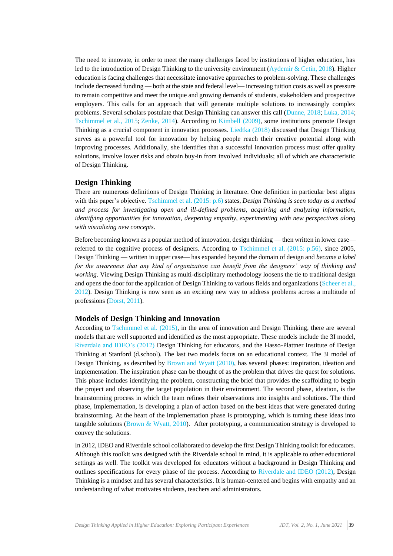The need to innovate, in order to meet the many challenges faced by institutions of higher education, has led to the introduction of Design Thinking to the university environment (Aydemir [& Cetin, 2018\)](#page-6-0). Higher education is facing challenges that necessitate innovative approaches to problem-solving. These challenges include decreased funding — both at the state and federal level— increasing tuition costs as well as pressure to remain competitive and meet the unique and growing demands of students, stakeholders and prospective employers. This calls for an approach that will generate multiple solutions to increasingly complex problems. Several scholars postulate that Design Thinking can answer this call [\(Dunne, 2018;](#page-6-1) [Luka, 2014;](#page-6-2) [Tschimmel et al., 2015;](#page-7-2) [Zenke, 2014\)](#page-7-0). According to [Kimbell \(2009\),](#page-6-3) some institutions promote Design Thinking as a crucial component in innovation processes. [Liedtka \(2018\)](#page-6-4) discussed that Design Thinking serves as a powerful tool for innovation by helping people reach their creative potential along with improving processes. Additionally, she identifies that a successful innovation process must offer quality solutions, involve lower risks and obtain buy-in from involved individuals; all of which are characteristic of Design Thinking.

#### **Design Thinking**

There are numerous definitions of Design Thinking in literature. One definition in particular best aligns with this paper's objective. [Tschimmel et al. \(2015: p.6\)](#page-7-2) states, *Design Thinking is seen today as a method and process for investigating open and ill-defined problems, acquiring and analyzing information, identifying opportunities for innovation, deepening empathy, experimenting with new perspectives along with visualizing new concepts*.

Before becoming known as a popular method of innovation, design thinking — then written in lower case referred to the cognitive process of designers. According to [Tschimmel et al. \(2015: p.56\),](#page-7-2) since 2005, Design Thinking — written in upper case— has expanded beyond the domain of design and *became a label for the awareness that any kind of organization can benefit from the designers' way of thinking and working*. Viewing Design Thinking as multi-disciplinary methodology loosens the tie to traditional design and opens the door for the application of Design Thinking to various fields and organizations [\(Scheer et al.,](#page-7-4)  [2012\)](#page-7-4). Design Thinking is now seen as an exciting new way to address problems across a multitude of professions [\(Dorst, 2011\)](#page-6-5).

#### **Models of Design Thinking and Innovation**

According to [Tschimmel et al. \(2015\),](#page-7-2) in the area of innovation and Design Thinking, there are several models that are well supported and identified as the most appropriate. These models include the 3I model, [Riverdale and IDEO's \(2012\)](#page-6-6) Design Thinking for educators, and the Hasso-Plattner Institute of Design Thinking at Stanford (d.school). The last two models focus on an educational context. The 3I model of Design Thinking, as described by [Brown and Wyatt \(2010\),](#page-6-7) has several phases: inspiration, ideation and implementation. The inspiration phase can be thought of as the problem that drives the quest for solutions. This phase includes identifying the problem, constructing the brief that provides the scaffolding to begin the project and observing the target population in their environment. The second phase, ideation, is the brainstorming process in which the team refines their observations into insights and solutions. The third phase, Implementation, is developing a plan of action based on the best ideas that were generated during brainstorming. At the heart of the Implementation phase is prototyping, which is turning these ideas into tangible solutions [\(Brown & Wyatt, 2010\)](#page-6-7). After prototyping, a communication strategy is developed to convey the solutions.

In 2012, IDEO and Riverdale school collaborated to develop the first Design Thinking toolkit for educators. Although this toolkit was designed with the Riverdale school in mind, it is applicable to other educational settings as well. The toolkit was developed for educators without a background in Design Thinking and outlines specifications for every phase of the process. According to [Riverdale and IDEO \(2012\),](#page-6-6) Design Thinking is a mindset and has several characteristics. It is human-centered and begins with empathy and an understanding of what motivates students, teachers and administrators.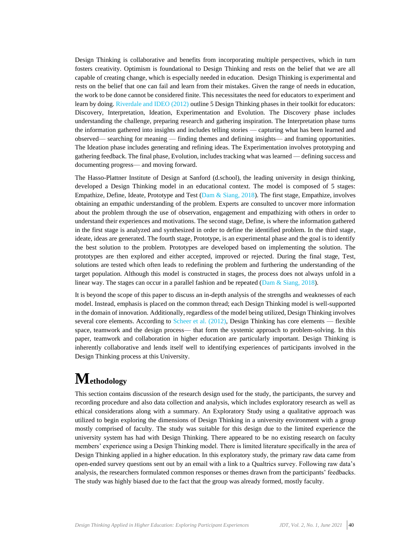Design Thinking is collaborative and benefits from incorporating multiple perspectives, which in turn fosters creativity. Optimism is foundational to Design Thinking and rests on the belief that we are all capable of creating change, which is especially needed in education. Design Thinking is experimental and rests on the belief that one can fail and learn from their mistakes. Given the range of needs in education, the work to be done cannot be considered finite. This necessitates the need for educators to experiment and learn by doing[. Riverdale and IDEO \(2012\)](#page-6-6) outline 5 Design Thinking phases in their toolkit for educators: Discovery, Interpretation, Ideation, Experimentation and Evolution. The Discovery phase includes understanding the challenge, preparing research and gathering inspiration. The Interpretation phase turns the information gathered into insights and includes telling stories — capturing what has been learned and observed— searching for meaning — finding themes and defining insights— and framing opportunities. The Ideation phase includes generating and refining ideas. The Experimentation involves prototyping and gathering feedback. The final phase, Evolution, includes tracking what was learned — defining success and documenting progress— and moving forward.

The Hasso-Plattner Institute of Design at Sanford (d.school), the leading university in design thinking, developed a Design Thinking model in an educational context. The model is composed of 5 stages: Empathize, Define, Ideate, Prototype and Test [\(Dam & Siang, 2018\)](#page-6-8). The first stage, Empathize, involves obtaining an empathic understanding of the problem. Experts are consulted to uncover more information about the problem through the use of observation, engagement and empathizing with others in order to understand their experiences and motivations. The second stage, Define, is where the information gathered in the first stage is analyzed and synthesized in order to define the identified problem. In the third stage, ideate, ideas are generated. The fourth stage, Prototype, is an experimental phase and the goal is to identify the best solution to the problem. Prototypes are developed based on implementing the solution. The prototypes are then explored and either accepted, improved or rejected. During the final stage, Test, solutions are tested which often leads to redefining the problem and furthering the understanding of the target population. Although this model is constructed in stages, the process does not always unfold in a linear way. The stages can occur in a parallel fashion and be repeated [\(Dam & Siang, 2018\)](#page-6-8).

It is beyond the scope of this paper to discuss an in-depth analysis of the strengths and weaknesses of each model. Instead, emphasis is placed on the common thread; each Design Thinking model is well-supported in the domain of innovation. Additionally, regardless of the model being utilized, Design Thinking involves several core elements. According to [Scheer et al. \(2012\),](#page-7-4) Design Thinking has core elements — flexible space, teamwork and the design process— that form the systemic approach to problem-solving. In this paper, teamwork and collaboration in higher education are particularly important. Design Thinking is inherently collaborative and lends itself well to identifying experiences of participants involved in the Design Thinking process at this University.

# **Methodology**

This section contains discussion of the research design used for the study, the participants, the survey and recording procedure and also data collection and analysis, which includes exploratory research as well as ethical considerations along with a summary. An Exploratory Study using a qualitative approach was utilized to begin exploring the dimensions of Design Thinking in a university environment with a group mostly comprised of faculty. The study was suitable for this design due to the limited experience the university system has had with Design Thinking. There appeared to be no existing research on faculty members' experience using a Design Thinking model. There is limited literature specifically in the area of Design Thinking applied in a higher education. In this exploratory study, the primary raw data came from open-ended survey questions sent out by an email with a link to a Qualtrics survey. Following raw data's analysis, the researchers formulated common responses or themes drawn from the participants' feedbacks. The study was highly biased due to the fact that the group was already formed, mostly faculty.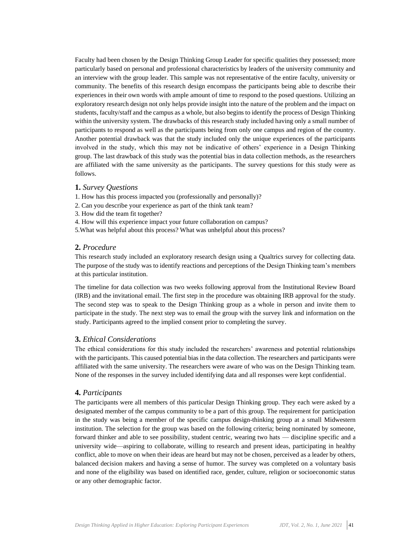Faculty had been chosen by the Design Thinking Group Leader for specific qualities they possessed; more particularly based on personal and professional characteristics by leaders of the university community and an interview with the group leader. This sample was not representative of the entire faculty, university or community. The benefits of this research design encompass the participants being able to describe their experiences in their own words with ample amount of time to respond to the posed questions. Utilizing an exploratory research design not only helps provide insight into the nature of the problem and the impact on students, faculty/staff and the campus as a whole, but also begins to identify the process of Design Thinking within the university system. The drawbacks of this research study included having only a small number of participants to respond as well as the participants being from only one campus and region of the country. Another potential drawback was that the study included only the unique experiences of the participants involved in the study, which this may not be indicative of others' experience in a Design Thinking group. The last drawback of this study was the potential bias in data collection methods, as the researchers are affiliated with the same university as the participants. The survey questions for this study were as follows.

#### **1.** *Survey Questions*

- 1. How has this process impacted you (professionally and personally)?
- 2. Can you describe your experience as part of the think tank team?
- 3. How did the team fit together?
- 4. How will this experience impact your future collaboration on campus?
- 5.What was helpful about this process? What was unhelpful about this process?

#### **2.** *Procedure*

This research study included an exploratory research design using a Qualtrics survey for collecting data. The purpose of the study was to identify reactions and perceptions of the Design Thinking team's members at this particular institution.

The timeline for data collection was two weeks following approval from the Institutional Review Board (IRB) and the invitational email. The first step in the procedure was obtaining IRB approval for the study. The second step was to speak to the Design Thinking group as a whole in person and invite them to participate in the study. The next step was to email the group with the survey link and information on the study. Participants agreed to the implied consent prior to completing the survey.

### **3.** *Ethical Considerations*

The ethical considerations for this study included the researchers' awareness and potential relationships with the participants. This caused potential bias in the data collection. The researchers and participants were affiliated with the same university. The researchers were aware of who was on the Design Thinking team. None of the responses in the survey included identifying data and all responses were kept confidential.

#### **4.** *Participants*

The participants were all members of this particular Design Thinking group. They each were asked by a designated member of the campus community to be a part of this group. The requirement for participation in the study was being a member of the specific campus design-thinking group at a small Midwestern institution. The selection for the group was based on the following criteria; being nominated by someone, forward thinker and able to see possibility, student centric, wearing two hats — discipline specific and a university wide—aspiring to collaborate, willing to research and present ideas, participating in healthy conflict, able to move on when their ideas are heard but may not be chosen, perceived as a leader by others, balanced decision makers and having a sense of humor. The survey was completed on a voluntary basis and none of the eligibility was based on identified race, gender, culture, religion or socioeconomic status or any other demographic factor.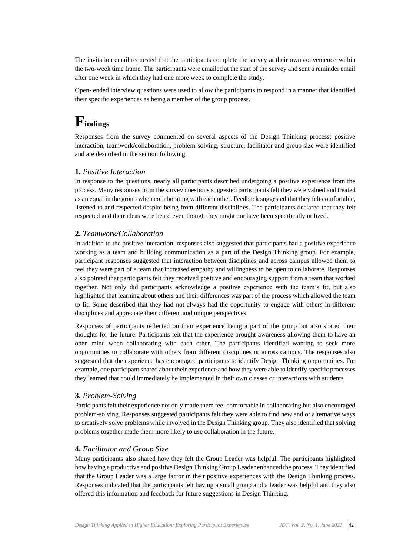The invitation email requested that the participants complete the survey at their own convenience within the two-week time frame. The participants were emailed at the start of the survey and sent a reminder email after one week in which they had one more week to complete the study.

Open- ended interview questions were used to allow the participants to respond in a manner that identified their specific experiences as being a member of the group process.

# **Findings**

Responses from the survey commented on several aspects of the Design Thinking process; positive interaction, teamwork/collaboration, problem-solving, structure, facilitator and group size were identified and are described in the section following.

# **1.** *Positive Interaction*

In response to the questions, nearly all participants described undergoing a positive experience from the process. Many responses from the survey questions suggested participants felt they were valued and treated as an equal in the group when collaborating with each other. Feedback suggested that they felt comfortable, listened to and respected despite being from different disciplines. The participants declared that they felt respected and their ideas were heard even though they might not have been specifically utilized.

## **2.** *Teamwork/Collaboration*

In addition to the positive interaction, responses also suggested that participants had a positive experience working as a team and building communication as a part of the Design Thinking group. For example, participant responses suggested that interaction between disciplines and across campus allowed them to feel they were part of a team that increased empathy and willingness to be open to collaborate. Responses also pointed that participants felt they received positive and encouraging support from a team that worked together. Not only did participants acknowledge a positive experience with the team's fit, but also highlighted that learning about others and their differences was part of the process which allowed the team to fit. Some described that they had not always had the opportunity to engage with others in different disciplines and appreciate their different and unique perspectives.

Responses of participants reflected on their experience being a part of the group but also shared their thoughts for the future. Participants felt that the experience brought awareness allowing them to have an open mind when collaborating with each other. The participants identified wanting to seek more opportunities to collaborate with others from different disciplines or across campus. The responses also suggested that the experience has encouraged participants to identify Design Thinking opportunities. For example, one participant shared about their experience and how they were able to identify specific processes they learned that could immediately be implemented in their own classes or interactions with students

### **3.** *Problem-Solving*

Participants felt their experience not only made them feel comfortable in collaborating but also encouraged problem-solving. Responses suggested participants felt they were able to find new and or alternative ways to creatively solve problems while involved in the Design Thinking group. They also identified that solving problems together made them more likely to use collaboration in the future.

# **4.** *Facilitator and Group Size*

Many participants also shared how they felt the Group Leader was helpful. The participants highlighted how having a productive and positive Design Thinking Group Leader enhanced the process. They identified that the Group Leader was a large factor in their positive experiences with the Design Thinking process. Responses indicated that the participants felt having a small group and a leader was helpful and they also offered this information and feedback for future suggestions in Design Thinking.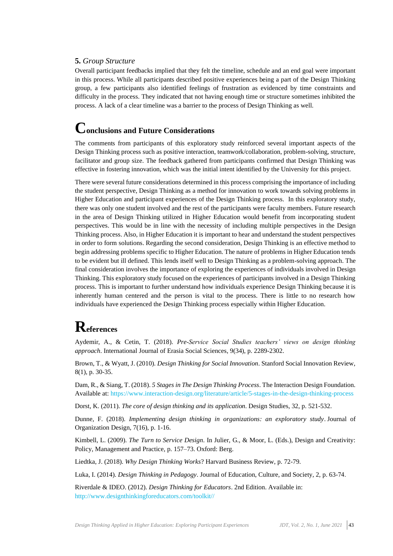### **5.** *Group Structure*

Overall participant feedbacks implied that they felt the timeline, schedule and an end goal were important in this process. While all participants described positive experiences being a part of the Design Thinking group, a few participants also identified feelings of frustration as evidenced by time constraints and difficulty in the process. They indicated that not having enough time or structure sometimes inhibited the process. A lack of a clear timeline was a barrier to the process of Design Thinking as well.

# **Conclusions and Future Considerations**

The comments from participants of this exploratory study reinforced several important aspects of the Design Thinking process such as positive interaction, teamwork/collaboration, problem-solving, structure, facilitator and group size. The feedback gathered from participants confirmed that Design Thinking was effective in fostering innovation, which was the initial intent identified by the University for this project.

There were several future considerations determined in this process comprising the importance of including the student perspective, Design Thinking as a method for innovation to work towards solving problems in Higher Education and participant experiences of the Design Thinking process. In this exploratory study, there was only one student involved and the rest of the participants were faculty members. Future research in the area of Design Thinking utilized in Higher Education would benefit from incorporating student perspectives. This would be in line with the necessity of including multiple perspectives in the Design Thinking process. Also, in Higher Education it is important to hear and understand the student perspectives in order to form solutions. Regarding the second consideration, Design Thinking is an effective method to begin addressing problems specific to Higher Education. The nature of problems in Higher Education tends to be evident but ill defined. This lends itself well to Design Thinking as a problem-solving approach. The final consideration involves the importance of exploring the experiences of individuals involved in Design Thinking. This exploratory study focused on the experiences of participants involved in a Design Thinking process. This is important to further understand how individuals experience Design Thinking because it is inherently human centered and the person is vital to the process. There is little to no research how individuals have experienced the Design Thinking process especially within Higher Education.

# **References**

<span id="page-6-0"></span>Aydemir, A., & Cetin, T. (2018). *Pre-Service Social Studies teachers' views on design thinking approach*. International Journal of Erasia Social Sciences, 9(34), p. 2289-2302.

<span id="page-6-7"></span>Brown, T., & Wyatt, J. (2010). *Design Thinking for Social Innovation*. Stanford Social Innovation Review, 8(1), p. 30-35.

<span id="page-6-8"></span>Dam, R., & Siang, T. (2018). *5 Stages inThe Design Thinking Process*. The Interaction Design Foundation. Available at: https://www.interaction-design.org/literature/article/5-stages-in-the-design-thinking-process

<span id="page-6-5"></span>Dorst, K. (2011). *The core of design thinking and its application*. Design Studies, 32, p. 521-532.

<span id="page-6-1"></span>Dunne, F. (2018). *Implementing design thinking in organizations: an exploratory study*. Journal of Organization Design, 7(16), p. 1-16.

<span id="page-6-3"></span>Kimbell, L. (2009). *The Turn to Service Design*. In Julier, G., & Moor, L. (Eds.), Design and Creativity: Policy, Management and Practice, p. 157–73. Oxford: Berg.

<span id="page-6-4"></span>Liedtka, J. (2018). *Why Design Thinking Works*? Harvard Business Review, p. 72-79.

<span id="page-6-2"></span>Luka, I. (2014). *Design Thinking in Pedagogy*. Journal of Education, Culture, and Society, 2, p. 63-74. 

<span id="page-6-6"></span>Riverdale & IDEO. (2012). *Design Thinking for Educators*. 2nd Edition. Available in: http://www.designthinkingforeducators.com/toolkit//